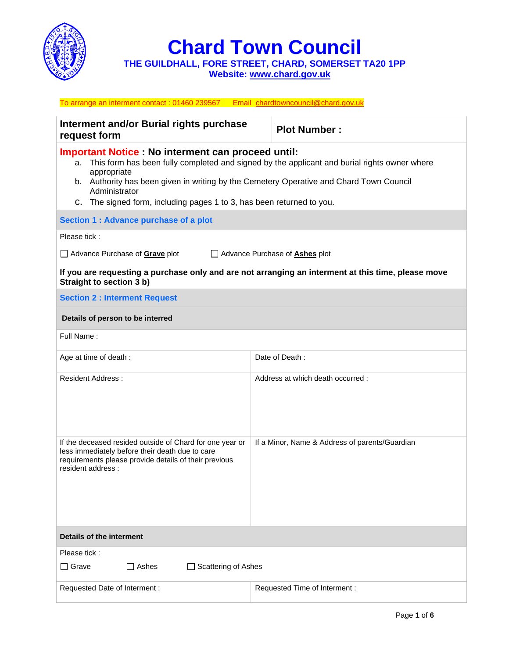

**Chard Town Council**

**THE GUILDHALL, FORE STREET, CHARD, SOMERSET TA20 1PP Website: [www.chard.gov.uk](http://www.chard.gov.uk/)** 

| To arrange an interment contact : 01460 239567 Email chardtowncouncil@chard.gov.uk                                                                                                                                                                                                                                                                               |                                                |  |  |
|------------------------------------------------------------------------------------------------------------------------------------------------------------------------------------------------------------------------------------------------------------------------------------------------------------------------------------------------------------------|------------------------------------------------|--|--|
| Interment and/or Burial rights purchase<br>request form                                                                                                                                                                                                                                                                                                          | <b>Plot Number:</b>                            |  |  |
| <b>Important Notice : No interment can proceed until:</b><br>a. This form has been fully completed and signed by the applicant and burial rights owner where<br>appropriate<br>b. Authority has been given in writing by the Cemetery Operative and Chard Town Council<br>Administrator<br>C. The signed form, including pages 1 to 3, has been returned to you. |                                                |  |  |
| Section 1 : Advance purchase of a plot                                                                                                                                                                                                                                                                                                                           |                                                |  |  |
| Please tick:                                                                                                                                                                                                                                                                                                                                                     |                                                |  |  |
| Advance Purchase of <b>Grave</b> plot<br>Advance Purchase of <b>Ashes</b> plot                                                                                                                                                                                                                                                                                   |                                                |  |  |
| If you are requesting a purchase only and are not arranging an interment at this time, please move<br>Straight to section 3 b)                                                                                                                                                                                                                                   |                                                |  |  |
| <b>Section 2: Interment Request</b>                                                                                                                                                                                                                                                                                                                              |                                                |  |  |
| Details of person to be interred                                                                                                                                                                                                                                                                                                                                 |                                                |  |  |
| Full Name:                                                                                                                                                                                                                                                                                                                                                       |                                                |  |  |
| Age at time of death :                                                                                                                                                                                                                                                                                                                                           | Date of Death:                                 |  |  |
| <b>Resident Address:</b>                                                                                                                                                                                                                                                                                                                                         | Address at which death occurred:               |  |  |
| If the deceased resided outside of Chard for one year or<br>less immediately before their death due to care<br>requirements please provide details of their previous<br>resident address :                                                                                                                                                                       | If a Minor, Name & Address of parents/Guardian |  |  |
| Details of the interment                                                                                                                                                                                                                                                                                                                                         |                                                |  |  |
| Please tick:                                                                                                                                                                                                                                                                                                                                                     |                                                |  |  |
| $\Box$ Grave<br>$\Box$ Ashes<br>Scattering of Ashes                                                                                                                                                                                                                                                                                                              |                                                |  |  |
| Requested Date of Interment:                                                                                                                                                                                                                                                                                                                                     | Requested Time of Interment :                  |  |  |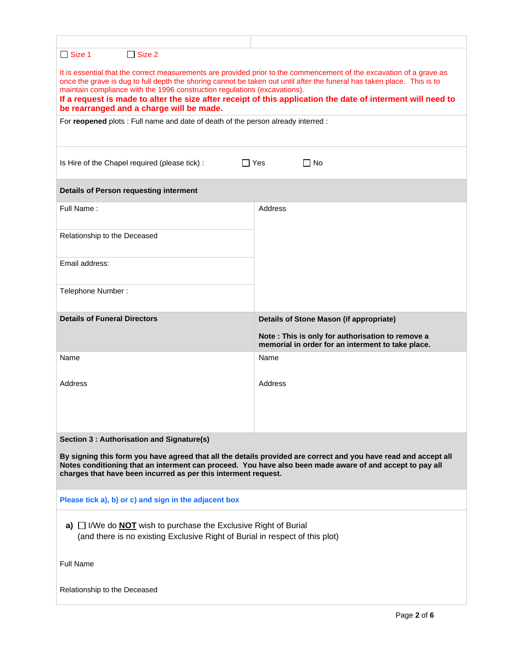| $\Box$ Size 1<br>$\Box$ Size 2                                                                                                                                                                                                                                                                                                                                                                                                                                                          |                                                                                                       |  |  |
|-----------------------------------------------------------------------------------------------------------------------------------------------------------------------------------------------------------------------------------------------------------------------------------------------------------------------------------------------------------------------------------------------------------------------------------------------------------------------------------------|-------------------------------------------------------------------------------------------------------|--|--|
| It is essential that the correct measurements are provided prior to the commencement of the excavation of a grave as<br>once the grave is dug to full depth the shoring cannot be taken out until after the funeral has taken place. This is to<br>maintain compliance with the 1996 construction regulations (excavations).<br>If a request is made to alter the size after receipt of this application the date of interment will need to<br>be rearranged and a charge will be made. |                                                                                                       |  |  |
| For reopened plots : Full name and date of death of the person already interred :                                                                                                                                                                                                                                                                                                                                                                                                       |                                                                                                       |  |  |
|                                                                                                                                                                                                                                                                                                                                                                                                                                                                                         |                                                                                                       |  |  |
| Is Hire of the Chapel required (please tick) :                                                                                                                                                                                                                                                                                                                                                                                                                                          | $\Box$ Yes<br>∏ No                                                                                    |  |  |
| <b>Details of Person requesting interment</b>                                                                                                                                                                                                                                                                                                                                                                                                                                           |                                                                                                       |  |  |
| Full Name:                                                                                                                                                                                                                                                                                                                                                                                                                                                                              | <b>Address</b>                                                                                        |  |  |
|                                                                                                                                                                                                                                                                                                                                                                                                                                                                                         |                                                                                                       |  |  |
| Relationship to the Deceased                                                                                                                                                                                                                                                                                                                                                                                                                                                            |                                                                                                       |  |  |
| Email address:                                                                                                                                                                                                                                                                                                                                                                                                                                                                          |                                                                                                       |  |  |
| Telephone Number:                                                                                                                                                                                                                                                                                                                                                                                                                                                                       |                                                                                                       |  |  |
|                                                                                                                                                                                                                                                                                                                                                                                                                                                                                         |                                                                                                       |  |  |
| <b>Details of Funeral Directors</b>                                                                                                                                                                                                                                                                                                                                                                                                                                                     | <b>Details of Stone Mason (if appropriate)</b>                                                        |  |  |
|                                                                                                                                                                                                                                                                                                                                                                                                                                                                                         | Note: This is only for authorisation to remove a<br>memorial in order for an interment to take place. |  |  |
| Name                                                                                                                                                                                                                                                                                                                                                                                                                                                                                    | Name                                                                                                  |  |  |
| Address                                                                                                                                                                                                                                                                                                                                                                                                                                                                                 | Address                                                                                               |  |  |
|                                                                                                                                                                                                                                                                                                                                                                                                                                                                                         |                                                                                                       |  |  |
|                                                                                                                                                                                                                                                                                                                                                                                                                                                                                         |                                                                                                       |  |  |
| Section 3 : Authorisation and Signature(s)                                                                                                                                                                                                                                                                                                                                                                                                                                              |                                                                                                       |  |  |
| By signing this form you have agreed that all the details provided are correct and you have read and accept all                                                                                                                                                                                                                                                                                                                                                                         |                                                                                                       |  |  |
| Notes conditioning that an interment can proceed. You have also been made aware of and accept to pay all<br>charges that have been incurred as per this interment request.                                                                                                                                                                                                                                                                                                              |                                                                                                       |  |  |
| Please tick a), b) or c) and sign in the adjacent box                                                                                                                                                                                                                                                                                                                                                                                                                                   |                                                                                                       |  |  |
| a) $\Box$ I/We do <b>NOT</b> wish to purchase the Exclusive Right of Burial<br>(and there is no existing Exclusive Right of Burial in respect of this plot)                                                                                                                                                                                                                                                                                                                             |                                                                                                       |  |  |
| <b>Full Name</b>                                                                                                                                                                                                                                                                                                                                                                                                                                                                        |                                                                                                       |  |  |
| Relationship to the Deceased                                                                                                                                                                                                                                                                                                                                                                                                                                                            |                                                                                                       |  |  |
|                                                                                                                                                                                                                                                                                                                                                                                                                                                                                         |                                                                                                       |  |  |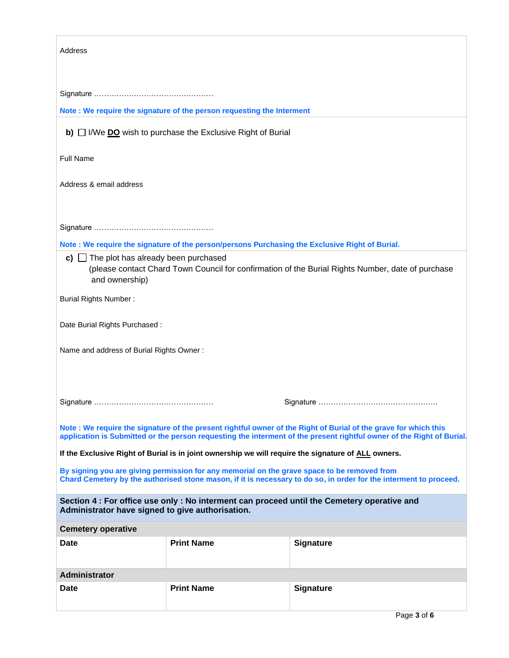| <b>Address</b>                                                                                                                                                                                                                           |                   |                  |  |  |
|------------------------------------------------------------------------------------------------------------------------------------------------------------------------------------------------------------------------------------------|-------------------|------------------|--|--|
|                                                                                                                                                                                                                                          |                   |                  |  |  |
|                                                                                                                                                                                                                                          |                   |                  |  |  |
| Note : We require the signature of the person requesting the Interment                                                                                                                                                                   |                   |                  |  |  |
| $\mathbf{b}$ ) $\Box$ I/We DO wish to purchase the Exclusive Right of Burial                                                                                                                                                             |                   |                  |  |  |
| <b>Full Name</b>                                                                                                                                                                                                                         |                   |                  |  |  |
| Address & email address                                                                                                                                                                                                                  |                   |                  |  |  |
|                                                                                                                                                                                                                                          |                   |                  |  |  |
| Note : We require the signature of the person/persons Purchasing the Exclusive Right of Burial.                                                                                                                                          |                   |                  |  |  |
| c) $\Box$ The plot has already been purchased<br>(please contact Chard Town Council for confirmation of the Burial Rights Number, date of purchase<br>and ownership)                                                                     |                   |                  |  |  |
| <b>Burial Rights Number:</b>                                                                                                                                                                                                             |                   |                  |  |  |
| Date Burial Rights Purchased:                                                                                                                                                                                                            |                   |                  |  |  |
| Name and address of Burial Rights Owner:                                                                                                                                                                                                 |                   |                  |  |  |
|                                                                                                                                                                                                                                          |                   |                  |  |  |
|                                                                                                                                                                                                                                          |                   |                  |  |  |
| Note: We require the signature of the present rightful owner of the Right of Burial of the grave for which this<br>application is Submitted or the person requesting the interment of the present rightful owner of the Right of Burial. |                   |                  |  |  |
| If the Exclusive Right of Burial is in joint ownership we will require the signature of ALL owners.                                                                                                                                      |                   |                  |  |  |
| By signing you are giving permission for any memorial on the grave space to be removed from<br>Chard Cemetery by the authorised stone mason, if it is necessary to do so, in order for the interment to proceed.                         |                   |                  |  |  |
| Section 4 : For office use only : No interment can proceed until the Cemetery operative and<br>Administrator have signed to give authorisation.                                                                                          |                   |                  |  |  |
| <b>Cemetery operative</b>                                                                                                                                                                                                                |                   |                  |  |  |
| <b>Date</b>                                                                                                                                                                                                                              | <b>Print Name</b> | <b>Signature</b> |  |  |
| <b>Administrator</b>                                                                                                                                                                                                                     |                   |                  |  |  |
| <b>Date</b>                                                                                                                                                                                                                              | <b>Print Name</b> | Signature        |  |  |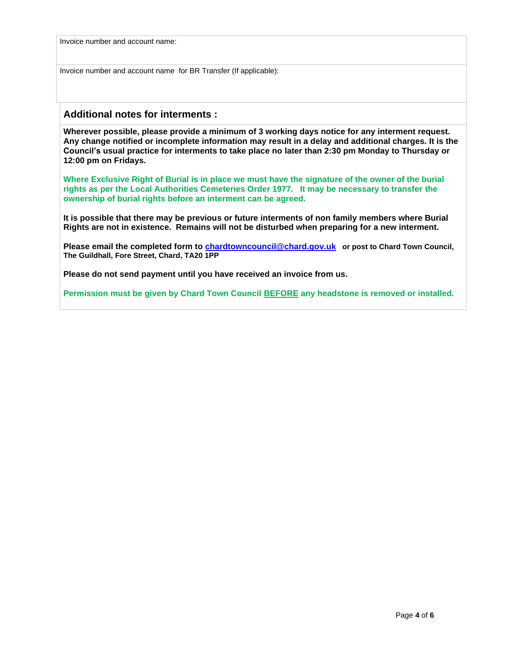Invoice number and account name:

Invoice number and account name for BR Transfer (If applicable):

## **Additional notes for interments :**

**Wherever possible, please provide a minimum of 3 working days notice for any interment request. Any change notified or incomplete information may result in a delay and additional charges. It is the Council's usual practice for interments to take place no later than 2:30 pm Monday to Thursday or 12:00 pm on Fridays.** 

**Where Exclusive Right of Burial is in place we must have the signature of the owner of the burial rights as per the Local Authorities Cemeteries Order 1977. It may be necessary to transfer the ownership of burial rights before an interment can be agreed.** 

**It is possible that there may be previous or future interments of non family members where Burial Rights are not in existence. Remains will not be disturbed when preparing for a new interment.** 

**Please email the completed form to [chardtowncouncil@chard.gov.uk](mailto:chardtowncouncil@chard.gov.uk) or post to Chard Town Council, The Guildhall, Fore Street, Chard, TA20 1PP**

**Please do not send payment until you have received an invoice from us.**

**Permission must be given by Chard Town Council BEFORE any headstone is removed or installed.**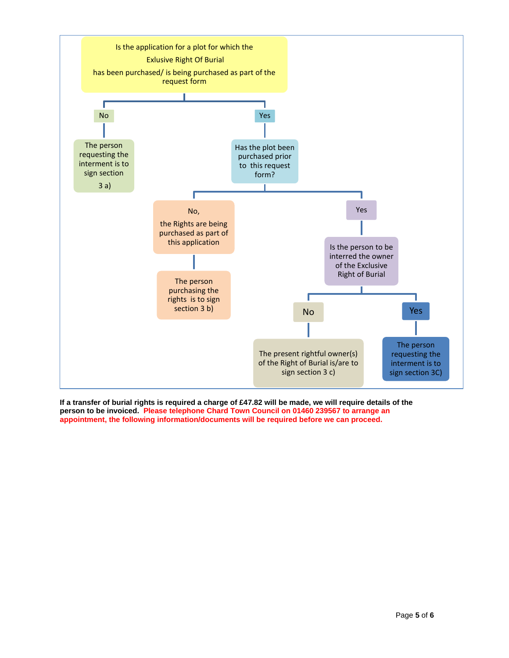

**If a transfer of burial rights is required a charge of £47.82 will be made, we will require details of the person to be invoiced. Please telephone Chard Town Council on 01460 239567 to arrange an appointment, the following information/documents will be required before we can proceed.**